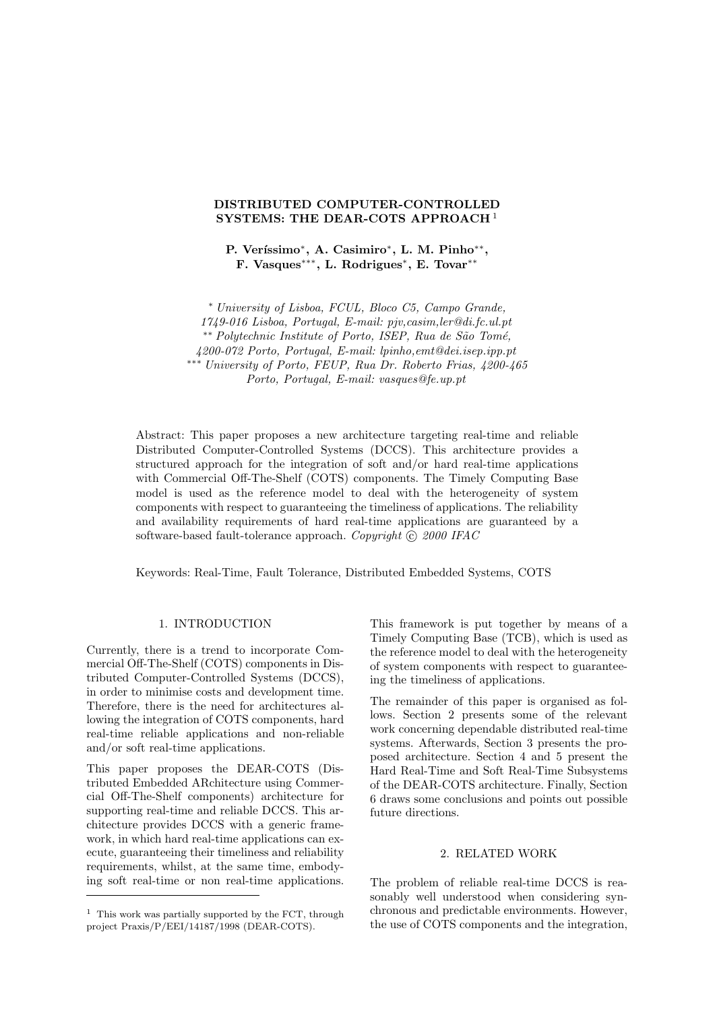# DISTRIBUTED COMPUTER-CONTROLLED SYSTEMS: THE DEAR-COTS APPROACH <sup>1</sup>

P. Veríssimo\*, A. Casimiro\*, L. M. Pinho\*\*, F. Vasques∗∗∗, L. Rodrigues<sup>∗</sup> , E. Tovar∗∗

<sup>∗</sup> University of Lisboa, FCUL, Bloco C5, Campo Grande, 1749-016 Lisboa, Portugal, E-mail: pjv,casim,ler@di.fc.ul.pt <sup>\*\*</sup> Polytechnic Institute of Porto, ISEP, Rua de São Tomé, 4200-072 Porto, Portugal, E-mail: lpinho,emt@dei.isep.ipp.pt ∗∗∗ University of Porto, FEUP, Rua Dr. Roberto Frias, 4200-465 Porto, Portugal, E-mail: vasques@fe.up.pt

Abstract: This paper proposes a new architecture targeting real-time and reliable Distributed Computer-Controlled Systems (DCCS). This architecture provides a structured approach for the integration of soft and/or hard real-time applications with Commercial Off-The-Shelf (COTS) components. The Timely Computing Base model is used as the reference model to deal with the heterogeneity of system components with respect to guaranteeing the timeliness of applications. The reliability and availability requirements of hard real-time applications are guaranteed by a software-based fault-tolerance approach. Copyright  $\odot$  2000 IFAC

Keywords: Real-Time, Fault Tolerance, Distributed Embedded Systems, COTS

# 1. INTRODUCTION

Currently, there is a trend to incorporate Commercial Off-The-Shelf (COTS) components in Distributed Computer-Controlled Systems (DCCS), in order to minimise costs and development time. Therefore, there is the need for architectures allowing the integration of COTS components, hard real-time reliable applications and non-reliable and/or soft real-time applications.

This paper proposes the DEAR-COTS (Distributed Embedded ARchitecture using Commercial Off-The-Shelf components) architecture for supporting real-time and reliable DCCS. This architecture provides DCCS with a generic framework, in which hard real-time applications can execute, guaranteeing their timeliness and reliability requirements, whilst, at the same time, embodying soft real-time or non real-time applications. This framework is put together by means of a Timely Computing Base (TCB), which is used as the reference model to deal with the heterogeneity of system components with respect to guaranteeing the timeliness of applications.

The remainder of this paper is organised as follows. Section 2 presents some of the relevant work concerning dependable distributed real-time systems. Afterwards, Section 3 presents the proposed architecture. Section 4 and 5 present the Hard Real-Time and Soft Real-Time Subsystems of the DEAR-COTS architecture. Finally, Section 6 draws some conclusions and points out possible future directions.

# 2. RELATED WORK

The problem of reliable real-time DCCS is reasonably well understood when considering synchronous and predictable environments. However, the use of COTS components and the integration,

 $<sup>1</sup>$  This work was partially supported by the FCT, through</sup> project Praxis/P/EEI/14187/1998 (DEAR-COTS).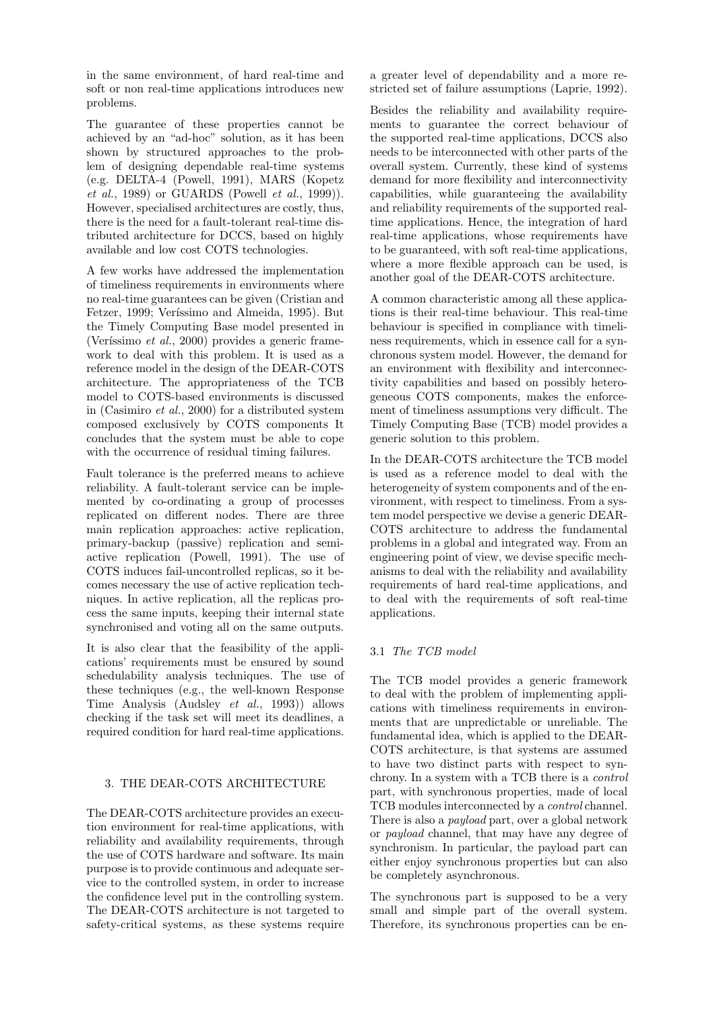in the same environment, of hard real-time and soft or non real-time applications introduces new problems.

The guarantee of these properties cannot be achieved by an "ad-hoc" solution, as it has been shown by structured approaches to the problem of designing dependable real-time systems (e.g. DELTA-4 (Powell, 1991), MARS (Kopetz et al., 1989) or GUARDS (Powell et al., 1999)). However, specialised architectures are costly, thus, there is the need for a fault-tolerant real-time distributed architecture for DCCS, based on highly available and low cost COTS technologies.

A few works have addressed the implementation of timeliness requirements in environments where no real-time guarantees can be given (Cristian and Fetzer, 1999; Veríssimo and Almeida, 1995). But the Timely Computing Base model presented in (Veríssimo et al., 2000) provides a generic framework to deal with this problem. It is used as a reference model in the design of the DEAR-COTS architecture. The appropriateness of the TCB model to COTS-based environments is discussed in (Casimiro et al., 2000) for a distributed system composed exclusively by COTS components It concludes that the system must be able to cope with the occurrence of residual timing failures.

Fault tolerance is the preferred means to achieve reliability. A fault-tolerant service can be implemented by co-ordinating a group of processes replicated on different nodes. There are three main replication approaches: active replication, primary-backup (passive) replication and semiactive replication (Powell, 1991). The use of COTS induces fail-uncontrolled replicas, so it becomes necessary the use of active replication techniques. In active replication, all the replicas process the same inputs, keeping their internal state synchronised and voting all on the same outputs.

It is also clear that the feasibility of the applications' requirements must be ensured by sound schedulability analysis techniques. The use of these techniques (e.g., the well-known Response Time Analysis (Audsley et al., 1993)) allows checking if the task set will meet its deadlines, a required condition for hard real-time applications.

# 3. THE DEAR-COTS ARCHITECTURE

The DEAR-COTS architecture provides an execution environment for real-time applications, with reliability and availability requirements, through the use of COTS hardware and software. Its main purpose is to provide continuous and adequate service to the controlled system, in order to increase the confidence level put in the controlling system. The DEAR-COTS architecture is not targeted to safety-critical systems, as these systems require a greater level of dependability and a more restricted set of failure assumptions (Laprie, 1992).

Besides the reliability and availability requirements to guarantee the correct behaviour of the supported real-time applications, DCCS also needs to be interconnected with other parts of the overall system. Currently, these kind of systems demand for more flexibility and interconnectivity capabilities, while guaranteeing the availability and reliability requirements of the supported realtime applications. Hence, the integration of hard real-time applications, whose requirements have to be guaranteed, with soft real-time applications, where a more flexible approach can be used, is another goal of the DEAR-COTS architecture.

A common characteristic among all these applications is their real-time behaviour. This real-time behaviour is specified in compliance with timeliness requirements, which in essence call for a synchronous system model. However, the demand for an environment with flexibility and interconnectivity capabilities and based on possibly heterogeneous COTS components, makes the enforcement of timeliness assumptions very difficult. The Timely Computing Base (TCB) model provides a generic solution to this problem.

In the DEAR-COTS architecture the TCB model is used as a reference model to deal with the heterogeneity of system components and of the environment, with respect to timeliness. From a system model perspective we devise a generic DEAR-COTS architecture to address the fundamental problems in a global and integrated way. From an engineering point of view, we devise specific mechanisms to deal with the reliability and availability requirements of hard real-time applications, and to deal with the requirements of soft real-time applications.

# 3.1 The TCB model

The TCB model provides a generic framework to deal with the problem of implementing applications with timeliness requirements in environments that are unpredictable or unreliable. The fundamental idea, which is applied to the DEAR-COTS architecture, is that systems are assumed to have two distinct parts with respect to synchrony. In a system with a TCB there is a control part, with synchronous properties, made of local TCB modules interconnected by a control channel. There is also a payload part, over a global network or payload channel, that may have any degree of synchronism. In particular, the payload part can either enjoy synchronous properties but can also be completely asynchronous.

The synchronous part is supposed to be a very small and simple part of the overall system. Therefore, its synchronous properties can be en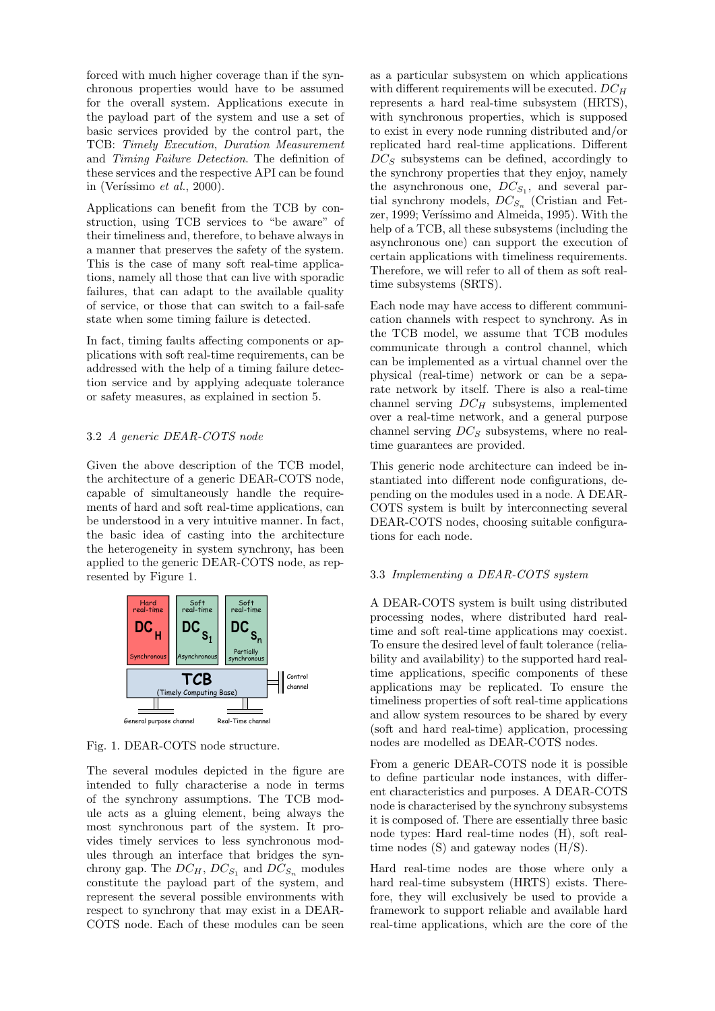forced with much higher coverage than if the synchronous properties would have to be assumed for the overall system. Applications execute in the payload part of the system and use a set of basic services provided by the control part, the TCB: Timely Execution, Duration Measurement and Timing Failure Detection. The definition of these services and the respective API can be found in (Veríssimo  $et\ al.,\ 2000$ ).

Applications can benefit from the TCB by construction, using TCB services to "be aware" of their timeliness and, therefore, to behave always in a manner that preserves the safety of the system. This is the case of many soft real-time applications, namely all those that can live with sporadic failures, that can adapt to the available quality of service, or those that can switch to a fail-safe state when some timing failure is detected.

In fact, timing faults affecting components or applications with soft real-time requirements, can be addressed with the help of a timing failure detection service and by applying adequate tolerance or safety measures, as explained in section 5.

# 3.2 A generic DEAR-COTS node

Given the above description of the TCB model, the architecture of a generic DEAR-COTS node, capable of simultaneously handle the requirements of hard and soft real-time applications, can be understood in a very intuitive manner. In fact, the basic idea of casting into the architecture the heterogeneity in system synchrony, has been applied to the generic DEAR-COTS node, as represented by Figure 1.



Fig. 1. DEAR-COTS node structure.

The several modules depicted in the figure are intended to fully characterise a node in terms of the synchrony assumptions. The TCB module acts as a gluing element, being always the most synchronous part of the system. It provides timely services to less synchronous modules through an interface that bridges the synchrony gap. The  $DC_H$ ,  $DC_{S_1}$  and  $DC_{S_n}$  modules constitute the payload part of the system, and represent the several possible environments with respect to synchrony that may exist in a DEAR-COTS node. Each of these modules can be seen as a particular subsystem on which applications with different requirements will be executed.  $DC_H$ represents a hard real-time subsystem (HRTS), with synchronous properties, which is supposed to exist in every node running distributed and/or replicated hard real-time applications. Different  $DC_S$  subsystems can be defined, accordingly to the synchrony properties that they enjoy, namely the asynchronous one,  $DC_{S_1}$ , and several partial synchrony models,  $DC_{S_n}$  (Cristian and Fetzer, 1999; Veríssimo and Almeida, 1995). With the help of a TCB, all these subsystems (including the asynchronous one) can support the execution of certain applications with timeliness requirements. Therefore, we will refer to all of them as soft realtime subsystems (SRTS).

Each node may have access to different communication channels with respect to synchrony. As in the TCB model, we assume that TCB modules communicate through a control channel, which can be implemented as a virtual channel over the physical (real-time) network or can be a separate network by itself. There is also a real-time channel serving  $DC_H$  subsystems, implemented over a real-time network, and a general purpose channel serving  $DC_S$  subsystems, where no realtime guarantees are provided.

This generic node architecture can indeed be instantiated into different node configurations, depending on the modules used in a node. A DEAR-COTS system is built by interconnecting several DEAR-COTS nodes, choosing suitable configurations for each node.

### 3.3 Implementing a DEAR-COTS system

A DEAR-COTS system is built using distributed processing nodes, where distributed hard realtime and soft real-time applications may coexist. To ensure the desired level of fault tolerance (reliability and availability) to the supported hard realtime applications, specific components of these applications may be replicated. To ensure the timeliness properties of soft real-time applications and allow system resources to be shared by every (soft and hard real-time) application, processing nodes are modelled as DEAR-COTS nodes.

From a generic DEAR-COTS node it is possible to define particular node instances, with different characteristics and purposes. A DEAR-COTS node is characterised by the synchrony subsystems it is composed of. There are essentially three basic node types: Hard real-time nodes (H), soft realtime nodes (S) and gateway nodes (H/S).

Hard real-time nodes are those where only a hard real-time subsystem (HRTS) exists. Therefore, they will exclusively be used to provide a framework to support reliable and available hard real-time applications, which are the core of the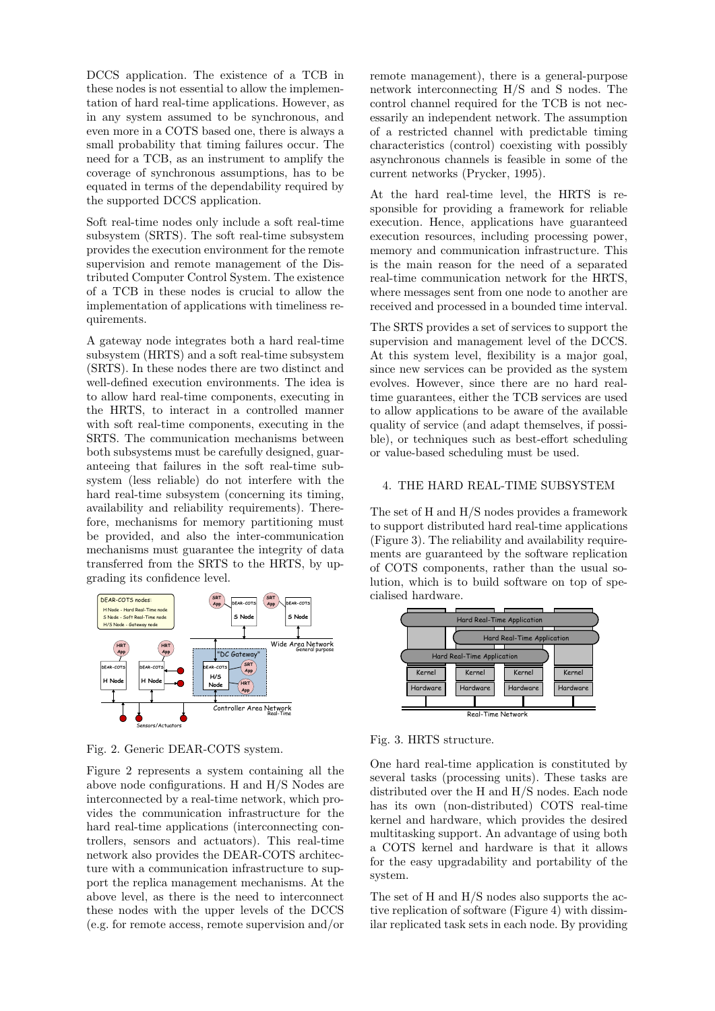DCCS application. The existence of a TCB in these nodes is not essential to allow the implementation of hard real-time applications. However, as in any system assumed to be synchronous, and even more in a COTS based one, there is always a small probability that timing failures occur. The need for a TCB, as an instrument to amplify the coverage of synchronous assumptions, has to be equated in terms of the dependability required by the supported DCCS application.

Soft real-time nodes only include a soft real-time subsystem (SRTS). The soft real-time subsystem provides the execution environment for the remote supervision and remote management of the Distributed Computer Control System. The existence of a TCB in these nodes is crucial to allow the implementation of applications with timeliness requirements.

A gateway node integrates both a hard real-time subsystem (HRTS) and a soft real-time subsystem (SRTS). In these nodes there are two distinct and well-defined execution environments. The idea is to allow hard real-time components, executing in the HRTS, to interact in a controlled manner with soft real-time components, executing in the SRTS. The communication mechanisms between both subsystems must be carefully designed, guaranteeing that failures in the soft real-time subsystem (less reliable) do not interfere with the hard real-time subsystem (concerning its timing, availability and reliability requirements). Therefore, mechanisms for memory partitioning must be provided, and also the inter-communication mechanisms must guarantee the integrity of data transferred from the SRTS to the HRTS, by upgrading its confidence level.



Fig. 2. Generic DEAR-COTS system.

Figure 2 represents a system containing all the above node configurations. H and H/S Nodes are interconnected by a real-time network, which provides the communication infrastructure for the hard real-time applications (interconnecting controllers, sensors and actuators). This real-time network also provides the DEAR-COTS architecture with a communication infrastructure to support the replica management mechanisms. At the above level, as there is the need to interconnect these nodes with the upper levels of the DCCS (e.g. for remote access, remote supervision and/or

remote management), there is a general-purpose network interconnecting H/S and S nodes. The control channel required for the TCB is not necessarily an independent network. The assumption of a restricted channel with predictable timing characteristics (control) coexisting with possibly asynchronous channels is feasible in some of the current networks (Prycker, 1995).

At the hard real-time level, the HRTS is responsible for providing a framework for reliable execution. Hence, applications have guaranteed execution resources, including processing power, memory and communication infrastructure. This is the main reason for the need of a separated real-time communication network for the HRTS, where messages sent from one node to another are received and processed in a bounded time interval.

The SRTS provides a set of services to support the supervision and management level of the DCCS. At this system level, flexibility is a major goal, since new services can be provided as the system evolves. However, since there are no hard realtime guarantees, either the TCB services are used to allow applications to be aware of the available quality of service (and adapt themselves, if possible), or techniques such as best-effort scheduling or value-based scheduling must be used.

#### 4. THE HARD REAL-TIME SUBSYSTEM

The set of H and H/S nodes provides a framework to support distributed hard real-time applications (Figure 3). The reliability and availability requirements are guaranteed by the software replication of COTS components, rather than the usual solution, which is to build software on top of specialised hardware.



Fig. 3. HRTS structure.

One hard real-time application is constituted by several tasks (processing units). These tasks are distributed over the H and H/S nodes. Each node has its own (non-distributed) COTS real-time kernel and hardware, which provides the desired multitasking support. An advantage of using both a COTS kernel and hardware is that it allows for the easy upgradability and portability of the system.

The set of H and H/S nodes also supports the active replication of software (Figure 4) with dissimilar replicated task sets in each node. By providing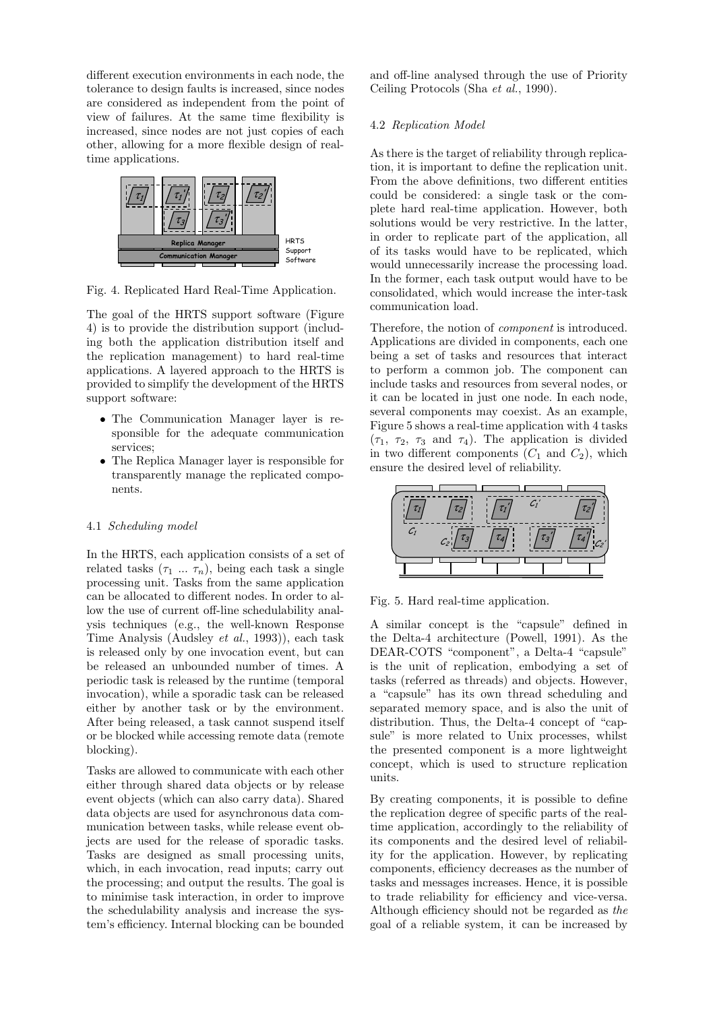different execution environments in each node, the tolerance to design faults is increased, since nodes are considered as independent from the point of view of failures. At the same time flexibility is increased, since nodes are not just copies of each other, allowing for a more flexible design of realtime applications.



Fig. 4. Replicated Hard Real-Time Application.

The goal of the HRTS support software (Figure 4) is to provide the distribution support (including both the application distribution itself and the replication management) to hard real-time applications. A layered approach to the HRTS is provided to simplify the development of the HRTS support software:

- The Communication Manager layer is responsible for the adequate communication services;
- The Replica Manager layer is responsible for transparently manage the replicated components.

### 4.1 Scheduling model

In the HRTS, each application consists of a set of related tasks  $(\tau_1 \ldots \tau_n)$ , being each task a single processing unit. Tasks from the same application can be allocated to different nodes. In order to allow the use of current off-line schedulability analysis techniques (e.g., the well-known Response Time Analysis (Audsley et al., 1993)), each task is released only by one invocation event, but can be released an unbounded number of times. A periodic task is released by the runtime (temporal invocation), while a sporadic task can be released either by another task or by the environment. After being released, a task cannot suspend itself or be blocked while accessing remote data (remote blocking).

Tasks are allowed to communicate with each other either through shared data objects or by release event objects (which can also carry data). Shared data objects are used for asynchronous data communication between tasks, while release event objects are used for the release of sporadic tasks. Tasks are designed as small processing units, which, in each invocation, read inputs; carry out the processing; and output the results. The goal is to minimise task interaction, in order to improve the schedulability analysis and increase the system's efficiency. Internal blocking can be bounded and off-line analysed through the use of Priority Ceiling Protocols (Sha et al., 1990).

### 4.2 Replication Model

As there is the target of reliability through replication, it is important to define the replication unit. From the above definitions, two different entities could be considered: a single task or the complete hard real-time application. However, both solutions would be very restrictive. In the latter, in order to replicate part of the application, all of its tasks would have to be replicated, which would unnecessarily increase the processing load. In the former, each task output would have to be consolidated, which would increase the inter-task communication load.

Therefore, the notion of component is introduced. Applications are divided in components, each one being a set of tasks and resources that interact to perform a common job. The component can include tasks and resources from several nodes, or it can be located in just one node. In each node, several components may coexist. As an example, Figure 5 shows a real-time application with 4 tasks  $(\tau_1, \tau_2, \tau_3 \text{ and } \tau_4)$ . The application is divided in two different components  $(C_1$  and  $C_2$ ), which ensure the desired level of reliability.



Fig. 5. Hard real-time application.

A similar concept is the "capsule" defined in the Delta-4 architecture (Powell, 1991). As the DEAR-COTS "component", a Delta-4 "capsule" is the unit of replication, embodying a set of tasks (referred as threads) and objects. However, a "capsule" has its own thread scheduling and separated memory space, and is also the unit of distribution. Thus, the Delta-4 concept of "capsule" is more related to Unix processes, whilst the presented component is a more lightweight concept, which is used to structure replication units.

By creating components, it is possible to define the replication degree of specific parts of the realtime application, accordingly to the reliability of its components and the desired level of reliability for the application. However, by replicating components, efficiency decreases as the number of tasks and messages increases. Hence, it is possible to trade reliability for efficiency and vice-versa. Although efficiency should not be regarded as the goal of a reliable system, it can be increased by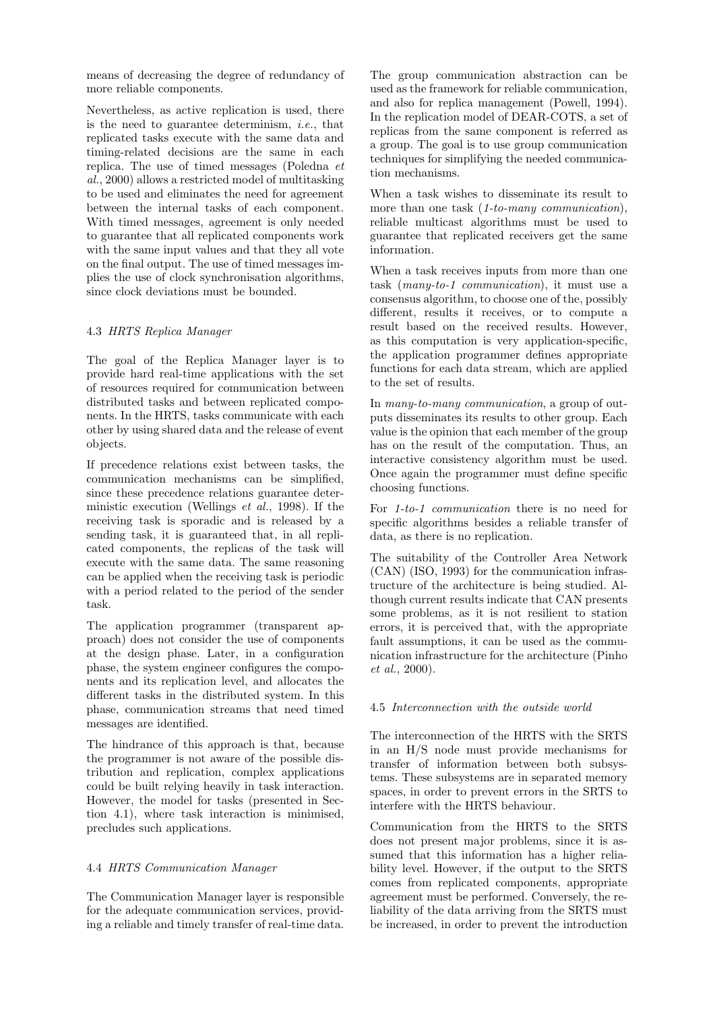means of decreasing the degree of redundancy of more reliable components.

Nevertheless, as active replication is used, there is the need to guarantee determinism, i.e., that replicated tasks execute with the same data and timing-related decisions are the same in each replica. The use of timed messages (Poledna et al., 2000) allows a restricted model of multitasking to be used and eliminates the need for agreement between the internal tasks of each component. With timed messages, agreement is only needed to guarantee that all replicated components work with the same input values and that they all vote on the final output. The use of timed messages implies the use of clock synchronisation algorithms, since clock deviations must be bounded.

### 4.3 HRTS Replica Manager

The goal of the Replica Manager layer is to provide hard real-time applications with the set of resources required for communication between distributed tasks and between replicated components. In the HRTS, tasks communicate with each other by using shared data and the release of event objects.

If precedence relations exist between tasks, the communication mechanisms can be simplified, since these precedence relations guarantee deterministic execution (Wellings et al., 1998). If the receiving task is sporadic and is released by a sending task, it is guaranteed that, in all replicated components, the replicas of the task will execute with the same data. The same reasoning can be applied when the receiving task is periodic with a period related to the period of the sender task.

The application programmer (transparent approach) does not consider the use of components at the design phase. Later, in a configuration phase, the system engineer configures the components and its replication level, and allocates the different tasks in the distributed system. In this phase, communication streams that need timed messages are identified.

The hindrance of this approach is that, because the programmer is not aware of the possible distribution and replication, complex applications could be built relying heavily in task interaction. However, the model for tasks (presented in Section 4.1), where task interaction is minimised, precludes such applications.

### 4.4 HRTS Communication Manager

The Communication Manager layer is responsible for the adequate communication services, providing a reliable and timely transfer of real-time data.

The group communication abstraction can be used as the framework for reliable communication, and also for replica management (Powell, 1994). In the replication model of DEAR-COTS, a set of replicas from the same component is referred as a group. The goal is to use group communication techniques for simplifying the needed communication mechanisms.

When a task wishes to disseminate its result to more than one task (1-to-many communication). reliable multicast algorithms must be used to guarantee that replicated receivers get the same information.

When a task receives inputs from more than one task (many-to-1 communication), it must use a consensus algorithm, to choose one of the, possibly different, results it receives, or to compute a result based on the received results. However, as this computation is very application-specific, the application programmer defines appropriate functions for each data stream, which are applied to the set of results.

In many-to-many communication, a group of outputs disseminates its results to other group. Each value is the opinion that each member of the group has on the result of the computation. Thus, an interactive consistency algorithm must be used. Once again the programmer must define specific choosing functions.

For 1-to-1 communication there is no need for specific algorithms besides a reliable transfer of data, as there is no replication.

The suitability of the Controller Area Network (CAN) (ISO, 1993) for the communication infrastructure of the architecture is being studied. Although current results indicate that CAN presents some problems, as it is not resilient to station errors, it is perceived that, with the appropriate fault assumptions, it can be used as the communication infrastructure for the architecture (Pinho et al., 2000).

#### 4.5 Interconnection with the outside world

The interconnection of the HRTS with the SRTS in an H/S node must provide mechanisms for transfer of information between both subsystems. These subsystems are in separated memory spaces, in order to prevent errors in the SRTS to interfere with the HRTS behaviour.

Communication from the HRTS to the SRTS does not present major problems, since it is assumed that this information has a higher reliability level. However, if the output to the SRTS comes from replicated components, appropriate agreement must be performed. Conversely, the reliability of the data arriving from the SRTS must be increased, in order to prevent the introduction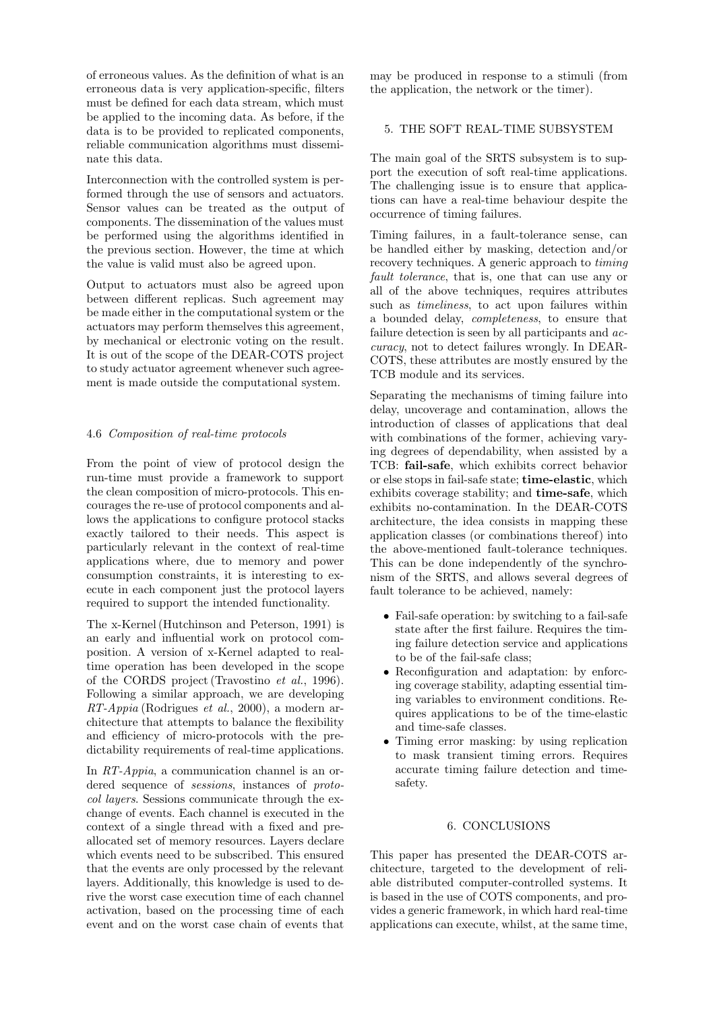of erroneous values. As the definition of what is an erroneous data is very application-specific, filters must be defined for each data stream, which must be applied to the incoming data. As before, if the data is to be provided to replicated components, reliable communication algorithms must disseminate this data.

Interconnection with the controlled system is performed through the use of sensors and actuators. Sensor values can be treated as the output of components. The dissemination of the values must be performed using the algorithms identified in the previous section. However, the time at which the value is valid must also be agreed upon.

Output to actuators must also be agreed upon between different replicas. Such agreement may be made either in the computational system or the actuators may perform themselves this agreement, by mechanical or electronic voting on the result. It is out of the scope of the DEAR-COTS project to study actuator agreement whenever such agreement is made outside the computational system.

# 4.6 Composition of real-time protocols

From the point of view of protocol design the run-time must provide a framework to support the clean composition of micro-protocols. This encourages the re-use of protocol components and allows the applications to configure protocol stacks exactly tailored to their needs. This aspect is particularly relevant in the context of real-time applications where, due to memory and power consumption constraints, it is interesting to execute in each component just the protocol layers required to support the intended functionality.

The x-Kernel (Hutchinson and Peterson, 1991) is an early and influential work on protocol composition. A version of x-Kernel adapted to realtime operation has been developed in the scope of the CORDS project (Travostino et al., 1996). Following a similar approach, we are developing RT-Appia (Rodrigues et al., 2000), a modern architecture that attempts to balance the flexibility and efficiency of micro-protocols with the predictability requirements of real-time applications.

In RT-Appia, a communication channel is an ordered sequence of *sessions*, instances of *proto*col layers. Sessions communicate through the exchange of events. Each channel is executed in the context of a single thread with a fixed and preallocated set of memory resources. Layers declare which events need to be subscribed. This ensured that the events are only processed by the relevant layers. Additionally, this knowledge is used to derive the worst case execution time of each channel activation, based on the processing time of each event and on the worst case chain of events that

may be produced in response to a stimuli (from the application, the network or the timer).

# 5. THE SOFT REAL-TIME SUBSYSTEM

The main goal of the SRTS subsystem is to support the execution of soft real-time applications. The challenging issue is to ensure that applications can have a real-time behaviour despite the occurrence of timing failures.

Timing failures, in a fault-tolerance sense, can be handled either by masking, detection and/or recovery techniques. A generic approach to *timing* fault tolerance, that is, one that can use any or all of the above techniques, requires attributes such as timeliness, to act upon failures within a bounded delay, completeness, to ensure that failure detection is seen by all participants and accuracy, not to detect failures wrongly. In DEAR-COTS, these attributes are mostly ensured by the TCB module and its services.

Separating the mechanisms of timing failure into delay, uncoverage and contamination, allows the introduction of classes of applications that deal with combinations of the former, achieving varying degrees of dependability, when assisted by a TCB: fail-safe, which exhibits correct behavior or else stops in fail-safe state; time-elastic, which exhibits coverage stability; and time-safe, which exhibits no-contamination. In the DEAR-COTS architecture, the idea consists in mapping these application classes (or combinations thereof) into the above-mentioned fault-tolerance techniques. This can be done independently of the synchronism of the SRTS, and allows several degrees of fault tolerance to be achieved, namely:

- Fail-safe operation: by switching to a fail-safe state after the first failure. Requires the timing failure detection service and applications to be of the fail-safe class;
- Reconfiguration and adaptation: by enforcing coverage stability, adapting essential timing variables to environment conditions. Requires applications to be of the time-elastic and time-safe classes.
- Timing error masking: by using replication to mask transient timing errors. Requires accurate timing failure detection and timesafety.

### 6. CONCLUSIONS

This paper has presented the DEAR-COTS architecture, targeted to the development of reliable distributed computer-controlled systems. It is based in the use of COTS components, and provides a generic framework, in which hard real-time applications can execute, whilst, at the same time,